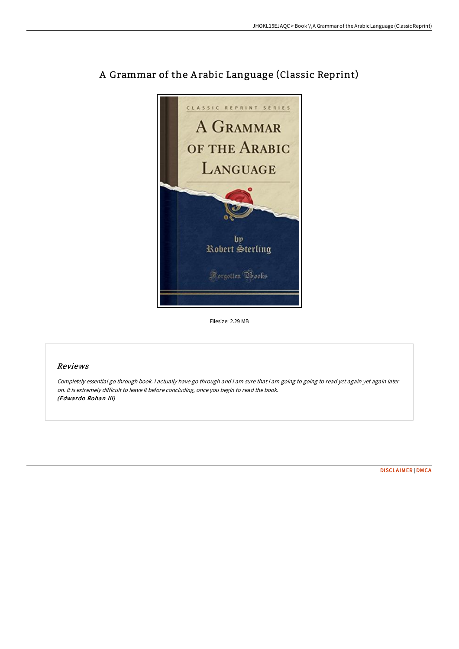

## A Grammar of the A rabic Language (Classic Reprint)

Filesize: 2.29 MB

## Reviews

Completely essential go through book. I actually have go through and i am sure that i am going to going to read yet again yet again later on. It is extremely difficult to leave it before concluding, once you begin to read the book. (Edwardo Rohan III)

[DISCLAIMER](http://www.bookdirs.com/disclaimer.html) | [DMCA](http://www.bookdirs.com/dmca.html)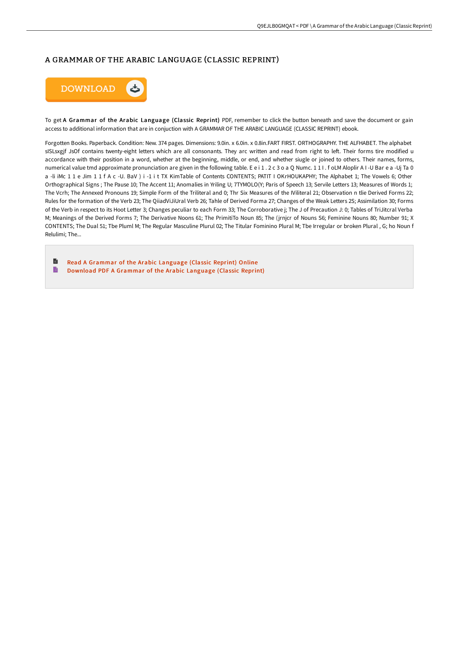## A GRAMMAR OF THE ARABIC LANGUAGE (CLASSIC REPRINT)



To get A Grammar of the Arabic Language (Classic Reprint) PDF, remember to click the button beneath and save the document or gain access to additional information that are in conjuction with A GRAMMAR OF THE ARABIC LANGUAGE (CLASSIC REPRINT) ebook.

Forgotten Books, Paperback, Condition: New. 374 pages, Dimensions: 9.0in, x 6.0in, x 0.8in, FART FIRST, ORTHOGRAPHY, THE ALFHABET, The alphabet sISLsxgjf JsOf contains twenty-eight letters which are all consonants. They arc written and read from right to left. Their forms tire modified u accordance with their position in a word, whether at the beginning, middle, or end, and whether siugle or joined to others. Their names, forms, numerical value tmd approximate pronunciation are given in the following table. E e i 1 . 2 c 3 o a Q Numc. 111. f oLM Aloplir A I -U Bar e a -Uj Ta 0 a -li iMc 1 1 e Jim 1 1 f A c -U. BaV ) i -1 i t TX KimTable of Contents CONTENTS; PATIT I OKrHOUKAPHY; The Alphabet 1; The Vowels 6; Other Orthographical Signs; The Pause 10; The Accent 11; Anomalies in Yriling U; 7TYMOLO(Y; Paris of Speech 13; Servile Letters 13; Measures of Words 1; The Vcrh: The Annexed Pronouns 19: Simple Form of the Triliteral and 0: Thr Six Measures of the Wiliteral 21: Observation n tlie Derived Forms 22: Rules for the formation of the Verb 23; The QiiadViJiUral Verb 26; Tahle of Derived Forma 27; Changes of the Weak Letters 2S; Assimilation 30; Forms of the Verb in respect to its Hoot Letter 3; Changes peculiar to each Form 33; The Corroborative j; The J of Precaution J: 0; Tables of TriJitcral Verba M; Meanings of the Derived Forms 7; The Derivative Noons 61; The PrimitiTo Noun 85; The (jrnjcr of Nouns S6; Feminine Nouns 80; Number 91; X CONTENTS; The Dual 51; Tbe Pluml M; The Regular Masculine Plurul 02; The Titular Fominino Plural M; Tbe Irregular or broken Plural, G; ho Noun f Relulimi: The...

B Read A Grammar of the Arabic Language (Classic Reprint) Online B Download PDF A Grammar of the Arabic Language (Classic Reprint)